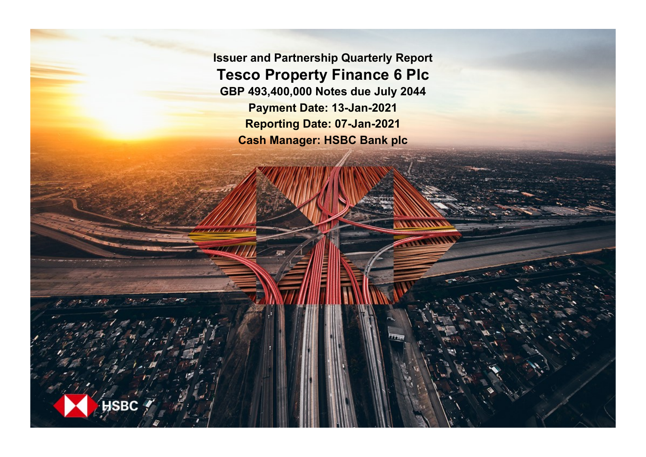**Issuer and Partnership Quarterly Report Tesco Property Finance 6 Plc GBP 493,400,000 Notes due July 2044 Payment Date: 13-Jan-2021 Reporting Date: 07-Jan-2021 Cash Manager: HSBC Bank plc**

**SRC**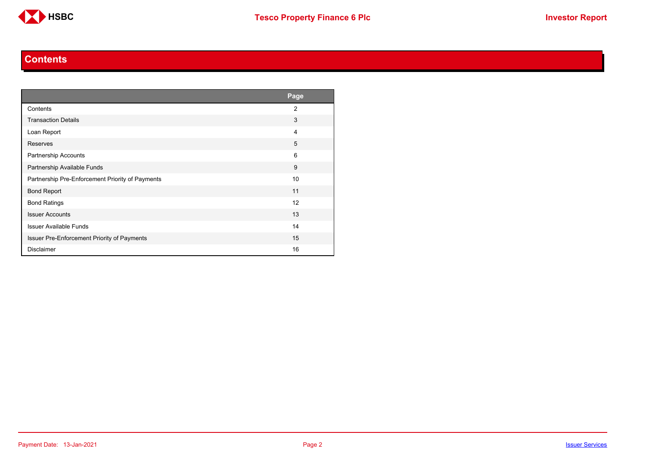

#### **Contents**

<span id="page-1-0"></span>

|                                                  | Page           |
|--------------------------------------------------|----------------|
| Contents                                         | $\overline{2}$ |
| <b>Transaction Details</b>                       | 3              |
| Loan Report                                      | $\overline{4}$ |
| Reserves                                         | 5              |
| Partnership Accounts                             | 6              |
| Partnership Available Funds                      | 9              |
| Partnership Pre-Enforcement Priority of Payments | 10             |
| <b>Bond Report</b>                               | 11             |
| <b>Bond Ratings</b>                              | 12             |
| <b>Issuer Accounts</b>                           | 13             |
| <b>Issuer Available Funds</b>                    | 14             |
| Issuer Pre-Enforcement Priority of Payments      | 15             |
| <b>Disclaimer</b>                                | 16             |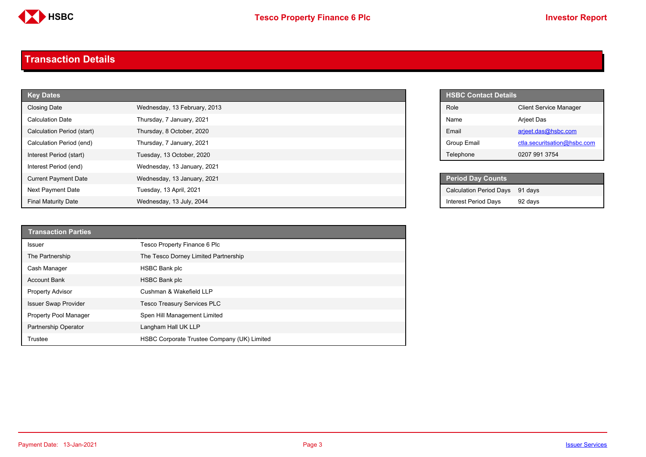

#### <span id="page-2-0"></span>**Transaction Details**

| <b>Key Dates</b>            |                              |  |
|-----------------------------|------------------------------|--|
| <b>Closing Date</b>         | Wednesday, 13 February, 2013 |  |
| <b>Calculation Date</b>     | Thursday, 7 January, 2021    |  |
| Calculation Period (start)  | Thursday, 8 October, 2020    |  |
| Calculation Period (end)    | Thursday, 7 January, 2021    |  |
| Interest Period (start)     | Tuesday, 13 October, 2020    |  |
| Interest Period (end)       | Wednesday, 13 January, 2021  |  |
| <b>Current Payment Date</b> | Wednesday, 13 January, 2021  |  |
| Next Payment Date           | Tuesday, 13 April, 2021      |  |
| <b>Final Maturity Date</b>  | Wednesday, 13 July, 2044     |  |

| <b>Transaction Parties</b>  |                                             |
|-----------------------------|---------------------------------------------|
| <b>Issuer</b>               | Tesco Property Finance 6 Plc                |
| The Partnership             | The Tesco Dorney Limited Partnership        |
| Cash Manager                | HSBC Bank plc                               |
| <b>Account Bank</b>         | <b>HSBC Bank plc</b>                        |
| <b>Property Advisor</b>     | Cushman & Wakefield LLP                     |
| <b>Issuer Swap Provider</b> | <b>Tesco Treasury Services PLC</b>          |
| Property Pool Manager       | Spen Hill Management Limited                |
| Partnership Operator        | Langham Hall UK LLP                         |
| Trustee                     | HSBC Corporate Trustee Company (UK) Limited |

| <b>HSBC Contact Details</b> |                               |  |
|-----------------------------|-------------------------------|--|
| Role                        | <b>Client Service Manager</b> |  |
| Name                        | <b>Arjeet Das</b>             |  |
| <b>Fmail</b>                | arjeet.das@hsbc.com           |  |
| Group Email                 | ctla.securitsation@hsbc.com   |  |
| Telephone                   | 0207 991 3754                 |  |

| <b>Period Day Counts</b>       |         |
|--------------------------------|---------|
| <b>Calculation Period Days</b> | 91 days |
| <b>Interest Period Days</b>    | 92 days |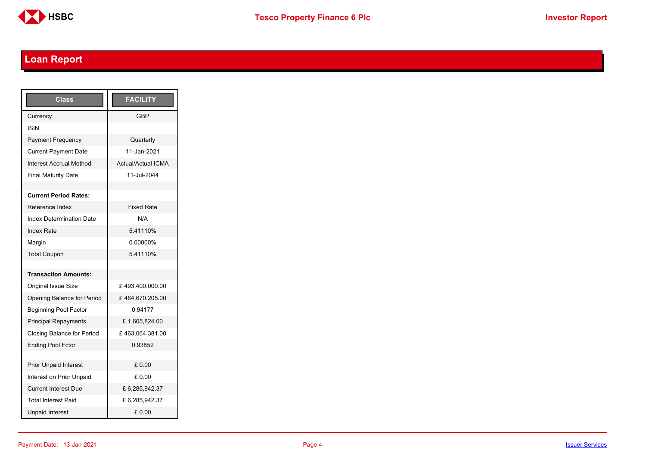

# <span id="page-3-0"></span>**Loan Report**

| Class                           | <b>FACILITY</b>           |
|---------------------------------|---------------------------|
| Currency                        | GBP                       |
| <b>ISIN</b>                     |                           |
| <b>Payment Frequency</b>        | Quarterly                 |
| <b>Current Payment Date</b>     | 11-Jan-2021               |
| <b>Interest Accrual Method</b>  | <b>Actual/Actual ICMA</b> |
| <b>Final Maturity Date</b>      | 11-Jul-2044               |
|                                 |                           |
| <b>Current Period Rates:</b>    |                           |
| Reference Index                 | <b>Fixed Rate</b>         |
| <b>Index Determination Date</b> | N/A                       |
| <b>Index Rate</b>               | 5.41110%                  |
| Margin                          | 0.00000%                  |
| <b>Total Coupon</b>             | 5.41110%                  |
|                                 |                           |
| <b>Transaction Amounts:</b>     |                           |
| <b>Original Issue Size</b>      | £493,400,000.00           |
| Opening Balance for Period      | £464,670,205.00           |
| <b>Beginning Pool Factor</b>    | 0.94177                   |
| <b>Principal Repayments</b>     | £1,605,824.00             |
| Closing Balance for Period      | £463,064,381.00           |
| <b>Ending Pool Fctor</b>        | 0.93852                   |
|                                 |                           |
| <b>Prior Unpaid Interest</b>    | £0.00                     |
| Interest on Prior Unpaid        | £ 0.00                    |
| <b>Current Interest Due</b>     | £6,285,942.37             |
| <b>Total Interest Paid</b>      | £6,285,942.37             |
| <b>Unpaid Interest</b>          | £0.00                     |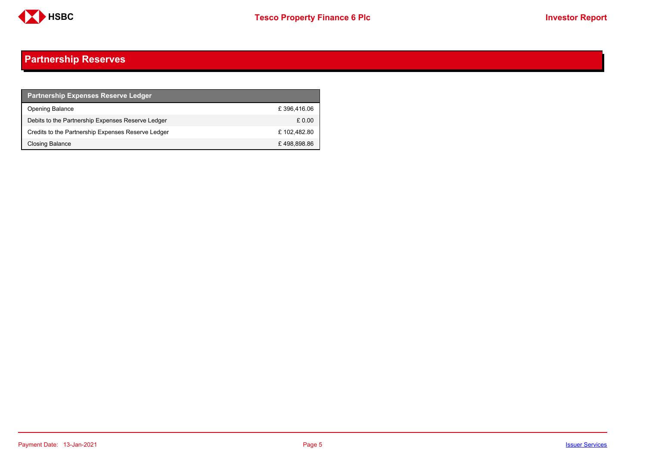

## <span id="page-4-0"></span>**Partnership Reserves**

| <b>Partnership Expenses Reserve Ledger</b>         |             |
|----------------------------------------------------|-------------|
| <b>Opening Balance</b>                             | £396.416.06 |
| Debits to the Partnership Expenses Reserve Ledger  | £ 0.00      |
| Credits to the Partnership Expenses Reserve Ledger | £102.482.80 |
| Closing Balance                                    | £498,898.86 |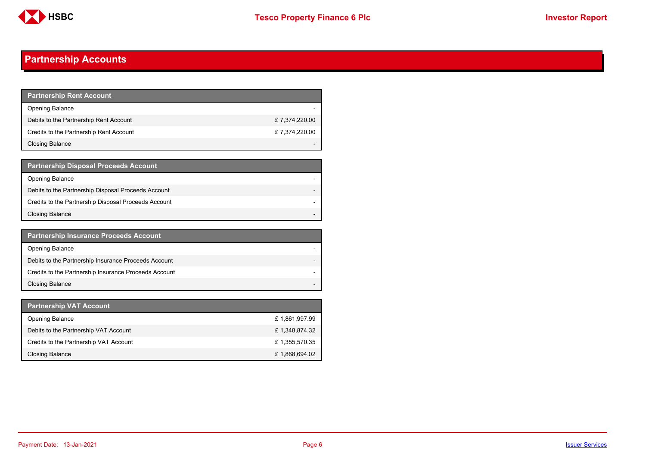

## <span id="page-5-0"></span>**Partnership Accounts**

| <b>Partnership Rent Account</b>         |               |
|-----------------------------------------|---------------|
| <b>Opening Balance</b>                  |               |
| Debits to the Partnership Rent Account  | £7,374,220.00 |
| Credits to the Partnership Rent Account | £7,374,220.00 |
| <b>Closing Balance</b>                  |               |

| <b>Partnership Disposal Proceeds Account</b>         |  |
|------------------------------------------------------|--|
| <b>Opening Balance</b>                               |  |
| Debits to the Partnership Disposal Proceeds Account  |  |
| Credits to the Partnership Disposal Proceeds Account |  |
| <b>Closing Balance</b>                               |  |

| <b>Partnership Insurance Proceeds Account</b>         |  |
|-------------------------------------------------------|--|
| <b>Opening Balance</b>                                |  |
| Debits to the Partnership Insurance Proceeds Account  |  |
| Credits to the Partnership Insurance Proceeds Account |  |
| <b>Closing Balance</b>                                |  |

| <b>Partnership VAT Account</b>         |               |
|----------------------------------------|---------------|
| <b>Opening Balance</b>                 | £1,861,997.99 |
| Debits to the Partnership VAT Account  | £1,348,874.32 |
| Credits to the Partnership VAT Account | £1,355,570.35 |
| Closing Balance                        | £1,868,694.02 |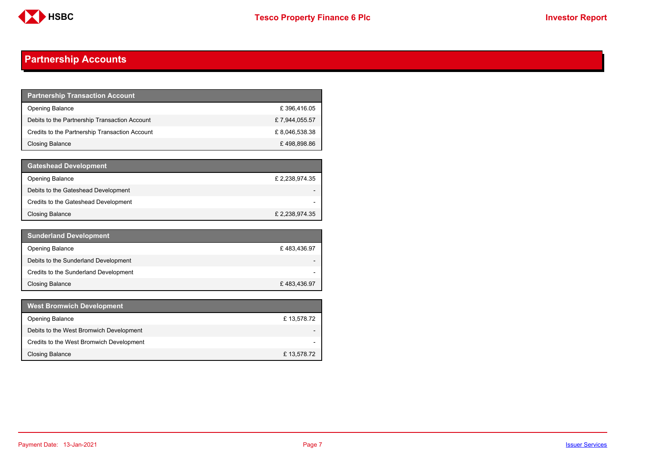

## **Partnership Accounts**

| <b>Partnership Transaction Account</b>         |                |
|------------------------------------------------|----------------|
| <b>Opening Balance</b>                         | £396,416.05    |
| Debits to the Partnership Transaction Account  | £7,944,055.57  |
| Credits to the Partnership Transaction Account | £ 8,046,538.38 |
| Closing Balance                                | £498,898.86    |

| <b>Gateshead Development</b>         |                |
|--------------------------------------|----------------|
| <b>Opening Balance</b>               | £ 2,238,974.35 |
| Debits to the Gateshead Development  |                |
| Credits to the Gateshead Development |                |
| Closing Balance                      | £ 2,238,974.35 |

| <b>Sunderland Development</b>         |             |
|---------------------------------------|-------------|
| <b>Opening Balance</b>                | £483,436.97 |
| Debits to the Sunderland Development  |             |
| Credits to the Sunderland Development |             |
| Closing Balance                       | £483,436.97 |

| <b>West Bromwich Development</b>         |            |
|------------------------------------------|------------|
| <b>Opening Balance</b>                   | £13,578.72 |
| Debits to the West Bromwich Development  |            |
| Credits to the West Bromwich Development |            |
| <b>Closing Balance</b>                   | £13,578.72 |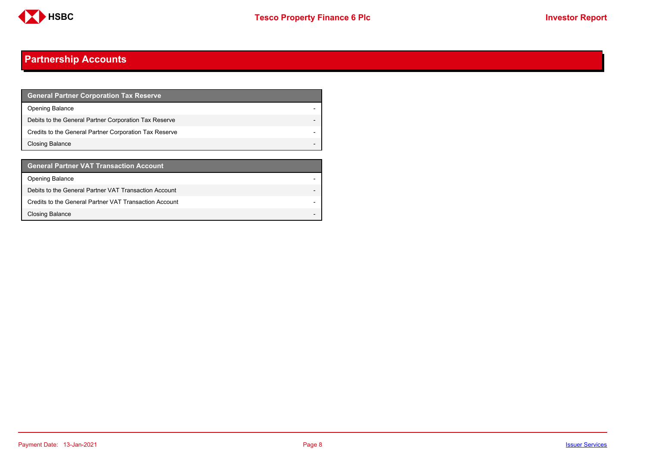

## **Partnership Accounts**

| <b>General Partner Corporation Tax Reserve</b>         |  |
|--------------------------------------------------------|--|
| <b>Opening Balance</b>                                 |  |
| Debits to the General Partner Corporation Tax Reserve  |  |
| Credits to the General Partner Corporation Tax Reserve |  |
| Closing Balance                                        |  |

| <b>General Partner VAT Transaction Account</b>         |  |
|--------------------------------------------------------|--|
| <b>Opening Balance</b>                                 |  |
| Debits to the General Partner VAT Transaction Account  |  |
| Credits to the General Partner VAT Transaction Account |  |
| <b>Closing Balance</b>                                 |  |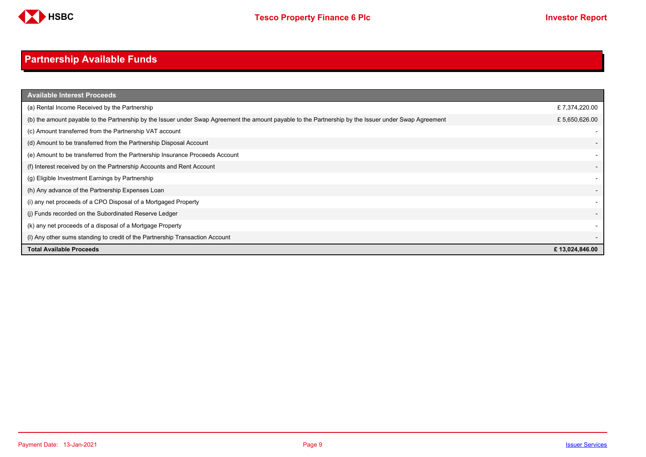

# <span id="page-8-0"></span>**Partnership Available Funds**

| <b>Available Interest Proceeds</b>                                                                                                                    |                          |
|-------------------------------------------------------------------------------------------------------------------------------------------------------|--------------------------|
| (a) Rental Income Received by the Partnership                                                                                                         | £7,374,220.00            |
| (b) the amount payable to the Partnership by the Issuer under Swap Agreement the amount payable to the Partnership by the Issuer under Swap Agreement | £5,650,626.00            |
| (c) Amount transferred from the Partnership VAT account                                                                                               |                          |
| (d) Amount to be transferred from the Partnership Disposal Account                                                                                    |                          |
| (e) Amount to be transferred from the Partnership Insurance Proceeds Account                                                                          |                          |
| (f) Interest received by on the Partnership Accounts and Rent Account                                                                                 | $\overline{\phantom{0}}$ |
| (g) Eligible Investment Earnings by Partnership                                                                                                       |                          |
| (h) Any advance of the Partnership Expenses Loan                                                                                                      |                          |
| (i) any net proceeds of a CPO Disposal of a Mortgaged Property                                                                                        |                          |
| (i) Funds recorded on the Subordinated Reserve Ledger                                                                                                 |                          |
| (k) any net proceeds of a disposal of a Mortgage Property                                                                                             |                          |
| (I) Any other sums standing to credit of the Partnership Transaction Account                                                                          |                          |
| <b>Total Available Proceeds</b>                                                                                                                       | £13,024,846.00           |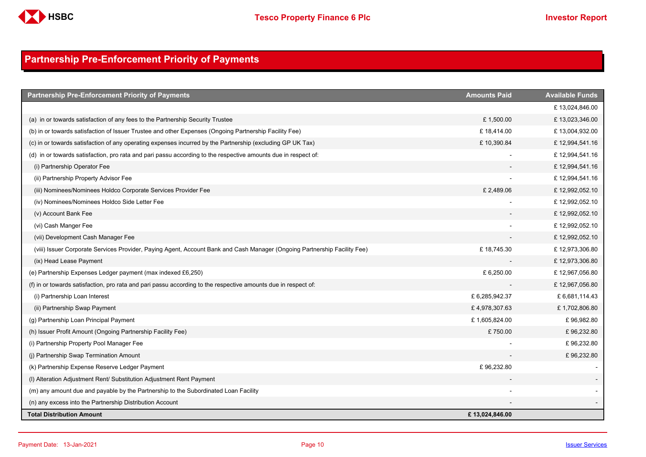

## <span id="page-9-0"></span>**Partnership Pre-Enforcement Priority of Payments**

| <b>Partnership Pre-Enforcement Priority of Payments</b>                                                                   | <b>Amounts Paid</b> | <b>Available Funds</b> |
|---------------------------------------------------------------------------------------------------------------------------|---------------------|------------------------|
|                                                                                                                           |                     | £13,024,846.00         |
| (a) in or towards satisfaction of any fees to the Partnership Security Trustee                                            | £1,500.00           | £13,023,346.00         |
| (b) in or towards satisfaction of Issuer Trustee and other Expenses (Ongoing Partnership Facility Fee)                    | £18,414.00          | £13,004,932.00         |
| (c) in or towards satisfaction of any operating expenses incurred by the Partnership (excluding GP UK Tax)                | £10,390.84          | £12,994,541.16         |
| (d) in or towards satisfaction, pro rata and pari passu according to the respective amounts due in respect of:            |                     | £12,994,541.16         |
| (i) Partnership Operator Fee                                                                                              |                     | £12,994,541.16         |
| (ii) Partnership Property Advisor Fee                                                                                     |                     | £12,994,541.16         |
| (iii) Nominees/Nominees Holdco Corporate Services Provider Fee                                                            | £2,489.06           | £12,992,052.10         |
| (iv) Nominees/Nominees Holdco Side Letter Fee                                                                             |                     | £12,992,052.10         |
| (v) Account Bank Fee                                                                                                      |                     | £12,992,052.10         |
| (vi) Cash Manger Fee                                                                                                      |                     | £12,992,052.10         |
| (vii) Development Cash Manager Fee                                                                                        |                     | £12,992,052.10         |
| (viii) Issuer Corporate Services Provider, Paying Agent, Account Bank and Cash Manager (Ongoing Partnership Facility Fee) | £18,745.30          | £12,973,306.80         |
| (ix) Head Lease Payment                                                                                                   |                     | £12,973,306.80         |
| (e) Partnership Expenses Ledger payment (max indexed £6,250)                                                              | £ 6,250.00          | £12,967,056.80         |
| (f) in or towards satisfaction, pro rata and pari passu according to the respective amounts due in respect of:            |                     | £12,967,056.80         |
| (i) Partnership Loan Interest                                                                                             | £6,285,942.37       | £6,681,114.43          |
| (ii) Partnership Swap Payment                                                                                             | £4,978,307.63       | £1,702,806.80          |
| (g) Partnership Loan Principal Payment                                                                                    | £1,605,824.00       | £96,982.80             |
| (h) Issuer Profit Amount (Ongoing Partnership Facility Fee)                                                               | £750.00             | £96,232.80             |
| (i) Partnership Property Pool Manager Fee                                                                                 |                     | £96,232.80             |
| (i) Partnership Swap Termination Amount                                                                                   |                     | £96,232.80             |
| (k) Partnership Expense Reserve Ledger Payment                                                                            | £96,232.80          |                        |
| (I) Alteration Adjustment Rent/ Substitution Adjustment Rent Payment                                                      |                     |                        |
| (m) any amount due and payable by the Partnership to the Subordinated Loan Facility                                       |                     |                        |
| (n) any excess into the Partnership Distribution Account                                                                  |                     |                        |
| <b>Total Distribution Amount</b>                                                                                          | £13,024,846.00      |                        |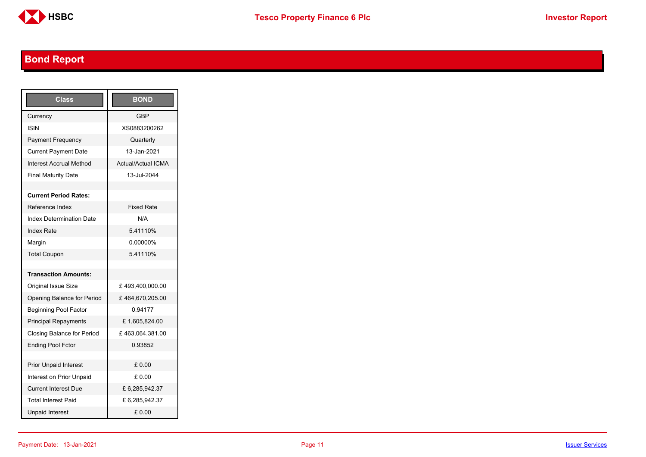

# <span id="page-10-0"></span>**Bond Report**

| Class                             | <b>BOND</b>               |
|-----------------------------------|---------------------------|
| Currency                          | <b>GBP</b>                |
| <b>ISIN</b>                       | XS0883200262              |
| <b>Payment Frequency</b>          | Quarterly                 |
| <b>Current Payment Date</b>       | 13-Jan-2021               |
| <b>Interest Accrual Method</b>    | <b>Actual/Actual ICMA</b> |
| <b>Final Maturity Date</b>        | 13-Jul-2044               |
|                                   |                           |
| <b>Current Period Rates:</b>      |                           |
| Reference Index                   | <b>Fixed Rate</b>         |
| <b>Index Determination Date</b>   | N/A                       |
| <b>Index Rate</b>                 | 5.41110%                  |
| Margin                            | 0.00000%                  |
| <b>Total Coupon</b>               | 5.41110%                  |
|                                   |                           |
| <b>Transaction Amounts:</b>       |                           |
| <b>Original Issue Size</b>        | £493,400,000.00           |
| Opening Balance for Period        | £464,670,205.00           |
| <b>Beginning Pool Factor</b>      | 0.94177                   |
| <b>Principal Repayments</b>       | £1,605,824.00             |
| <b>Closing Balance for Period</b> | £463,064,381.00           |
| <b>Ending Pool Fctor</b>          | 0.93852                   |
|                                   |                           |
| <b>Prior Unpaid Interest</b>      | £ 0.00                    |
| Interest on Prior Unpaid          | £ 0.00                    |
| <b>Current Interest Due</b>       | £6,285,942.37             |
| <b>Total Interest Paid</b>        | £6,285,942.37             |
| <b>Unpaid Interest</b>            | £0.00                     |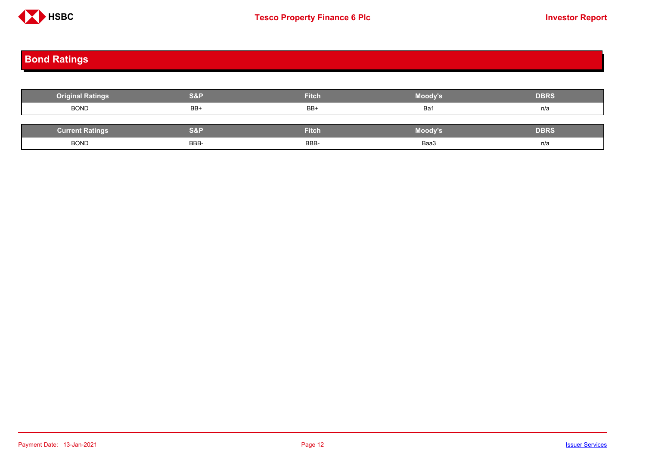

# <span id="page-11-0"></span>**Bond Ratings**

| <b>Original Ratings</b> | <b>S&amp;P</b> | <b>Fitch</b> | Moody's | <b>DBRS</b> |
|-------------------------|----------------|--------------|---------|-------------|
| <b>BOND</b>             | BB+            | BB+          | Ba1     | n/a         |
|                         |                |              |         |             |
| <b>Current Ratings</b>  | <b>S&amp;P</b> | <b>Fitch</b> | Moody's | <b>DBRS</b> |
| <b>BOND</b>             | BBB-           | BBB-         | Baa3    | n/a         |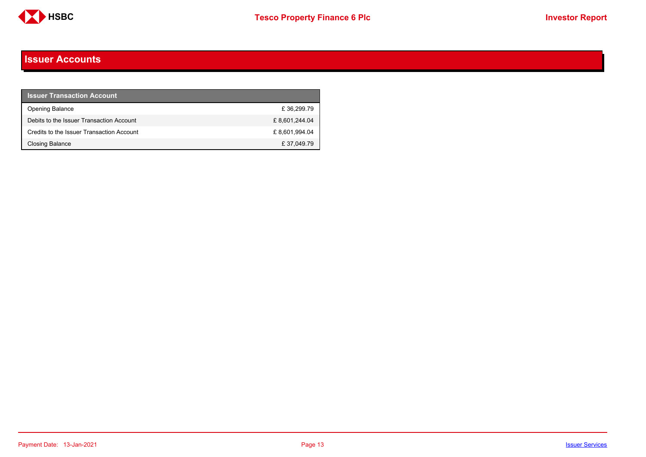

#### <span id="page-12-0"></span>**Issuer Accounts**

| <b>Issuer Transaction Account</b>         |               |
|-------------------------------------------|---------------|
| <b>Opening Balance</b>                    | £36.299.79    |
| Debits to the Issuer Transaction Account  | £8,601,244.04 |
| Credits to the Issuer Transaction Account | £8,601,994.04 |
| Closing Balance                           | £37,049.79    |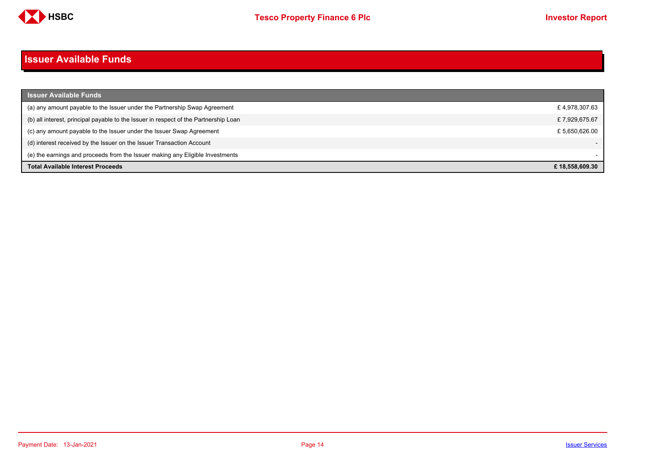

#### <span id="page-13-0"></span>**Issuer Available Funds**

| <b>Issuer Available Funds</b>                                                        |                |
|--------------------------------------------------------------------------------------|----------------|
| (a) any amount payable to the Issuer under the Partnership Swap Agreement            | £4,978,307.63  |
| (b) all interest, principal payable to the Issuer in respect of the Partnership Loan | £7,929,675.67  |
| (c) any amount payable to the Issuer under the Issuer Swap Agreement                 | £5.650.626.00  |
| (d) interest received by the Issuer on the Issuer Transaction Account                |                |
| (e) the earnings and proceeds from the Issuer making any Eligible Investments        |                |
| <b>Total Available Interest Proceeds</b>                                             | £18.558.609.30 |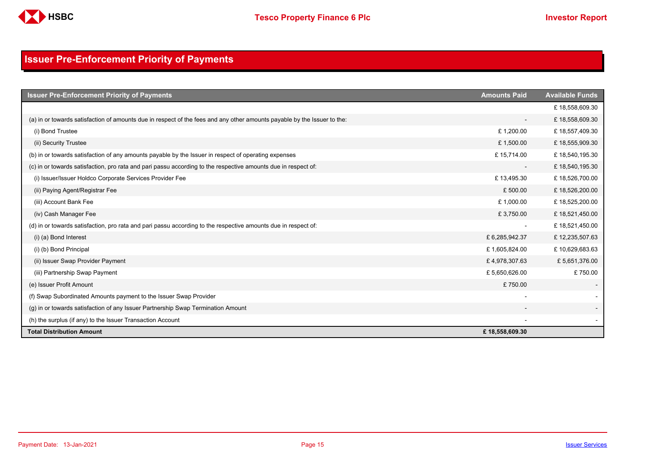

## <span id="page-14-0"></span>**Issuer Pre-Enforcement Priority of Payments**

| <b>Issuer Pre-Enforcement Priority of Payments</b>                                                                       | <b>Amounts Paid</b>      | <b>Available Funds</b> |
|--------------------------------------------------------------------------------------------------------------------------|--------------------------|------------------------|
|                                                                                                                          |                          | £18,558,609.30         |
| (a) in or towards satisfaction of amounts due in respect of the fees and any other amounts payable by the Issuer to the: | $\overline{\phantom{0}}$ | £18,558,609.30         |
| (i) Bond Trustee                                                                                                         | £1,200.00                | £18,557,409.30         |
| (ii) Security Trustee                                                                                                    | £1,500.00                | £18,555,909.30         |
| (b) in or towards satisfaction of any amounts payable by the Issuer in respect of operating expenses                     | £15,714.00               | £18,540,195.30         |
| (c) in or towards satisfaction, pro rata and pari passu according to the respective amounts due in respect of:           | $\overline{\phantom{a}}$ | £18,540,195.30         |
| (i) Issuer/Issuer Holdco Corporate Services Provider Fee                                                                 | £13,495.30               | £18,526,700.00         |
| (ii) Paying Agent/Registrar Fee                                                                                          | £500.00                  | £18,526,200.00         |
| (iii) Account Bank Fee                                                                                                   | £1,000.00                | £18,525,200.00         |
| (iv) Cash Manager Fee                                                                                                    | £3,750.00                | £18,521,450.00         |
| (d) in or towards satisfaction, pro rata and pari passu according to the respective amounts due in respect of:           |                          | £18,521,450.00         |
| (i) (a) Bond Interest                                                                                                    | £6,285,942.37            | £12,235,507.63         |
| (i) (b) Bond Principal                                                                                                   | £1,605,824.00            | £10,629,683.63         |
| (ii) Issuer Swap Provider Payment                                                                                        | £4,978,307.63            | £5,651,376.00          |
| (iii) Partnership Swap Payment                                                                                           | £5,650,626.00            | £750.00                |
| (e) Issuer Profit Amount                                                                                                 | £750.00                  |                        |
| (f) Swap Subordinated Amounts payment to the Issuer Swap Provider                                                        |                          |                        |
| (g) in or towards satisfaction of any Issuer Partnership Swap Termination Amount                                         |                          |                        |
| (h) the surplus (if any) to the Issuer Transaction Account                                                               |                          |                        |
| <b>Total Distribution Amount</b>                                                                                         | £18,558,609.30           |                        |